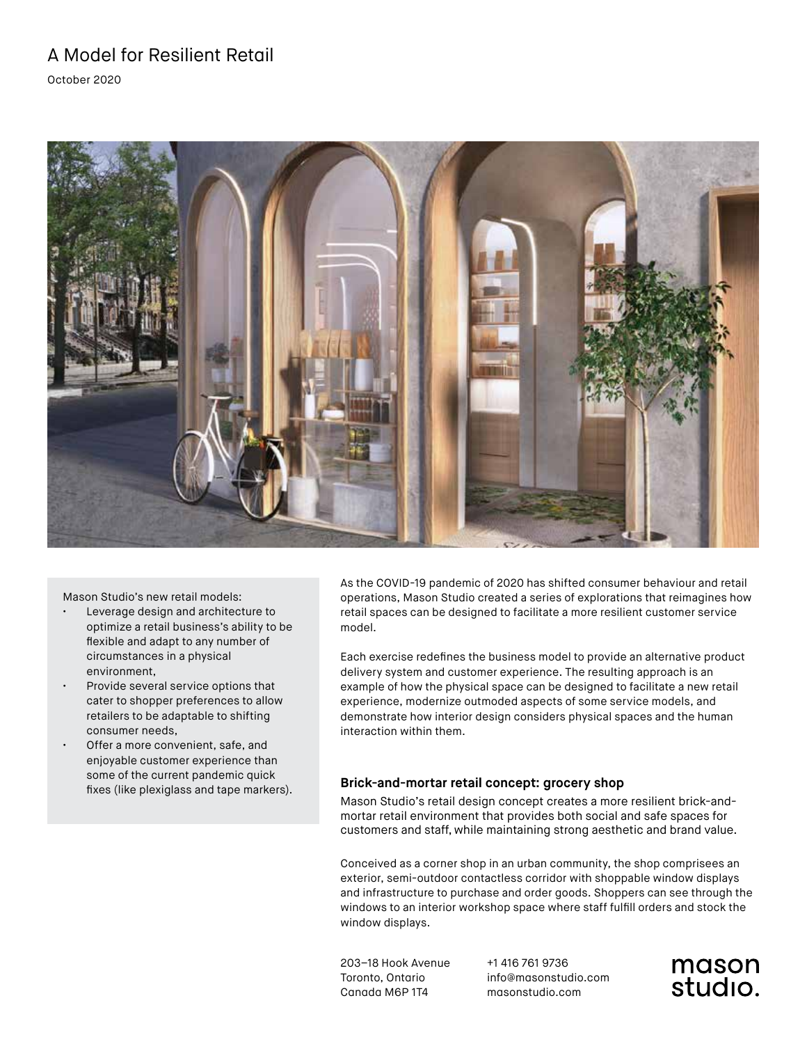October 2020



Mason Studio's new retail models:

- Leverage design and architecture to optimize a retail business's ability to be flexible and adapt to any number of circumstances in a physical environment,
- Provide several service options that cater to shopper preferences to allow retailers to be adaptable to shifting consumer needs,
- Offer a more convenient, safe, and enjoyable customer experience than some of the current pandemic quick fixes (like plexiglass and tape markers).

As the COVID-19 pandemic of 2020 has shifted consumer behaviour and retail operations, Mason Studio created a series of explorations that reimagines how retail spaces can be designed to facilitate a more resilient customer service model.

Each exercise redefines the business model to provide an alternative product delivery system and customer experience. The resulting approach is an example of how the physical space can be designed to facilitate a new retail experience, modernize outmoded aspects of some service models, and demonstrate how interior design considers physical spaces and the human interaction within them.

### **Brick-and-mortar retail concept: grocery shop**

Mason Studio's retail design concept creates a more resilient brick-andmortar retail environment that provides both social and safe spaces for customers and staff, while maintaining strong aesthetic and brand value.

Conceived as a corner shop in an urban community, the shop comprisees an exterior, semi-outdoor contactless corridor with shoppable window displays and infrastructure to purchase and order goods. Shoppers can see through the windows to an interior workshop space where staff fulfill orders and stock the window displays.

203–18 Hook Avenue Toronto, Ontario Canada M6P 1T4

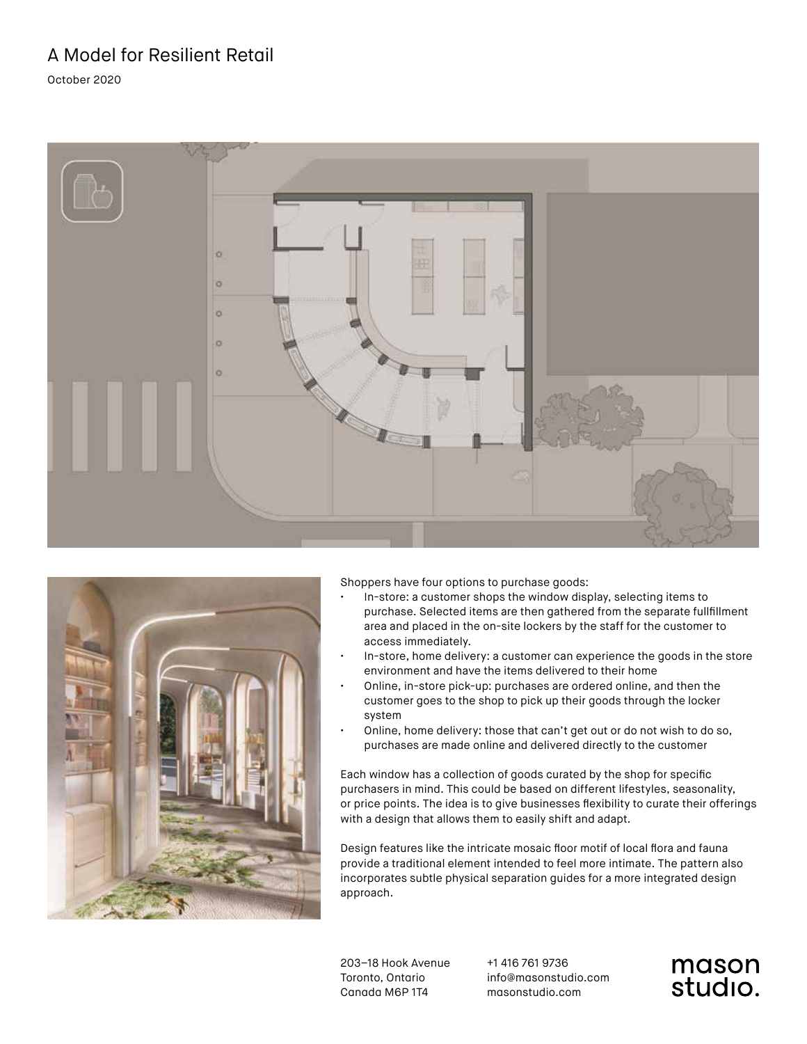October 2020





Shoppers have four options to purchase goods:

- In-store: a customer shops the window display, selecting items to purchase. Selected items are then gathered from the separate fullfillment area and placed in the on-site lockers by the staff for the customer to access immediately.
- In-store, home delivery: a customer can experience the goods in the store environment and have the items delivered to their home
- Online, in-store pick-up: purchases are ordered online, and then the customer goes to the shop to pick up their goods through the locker system
- Online, home delivery: those that can't get out or do not wish to do so, purchases are made online and delivered directly to the customer

Each window has a collection of goods curated by the shop for specific purchasers in mind. This could be based on different lifestyles, seasonality, or price points. The idea is to give businesses flexibility to curate their offerings with a design that allows them to easily shift and adapt.

Design features like the intricate mosaic floor motif of local flora and fauna provide a traditional element intended to feel more intimate. The pattern also incorporates subtle physical separation guides for a more integrated design approach.

203–18 Hook Avenue Toronto, Ontario Canada M6P 1T4

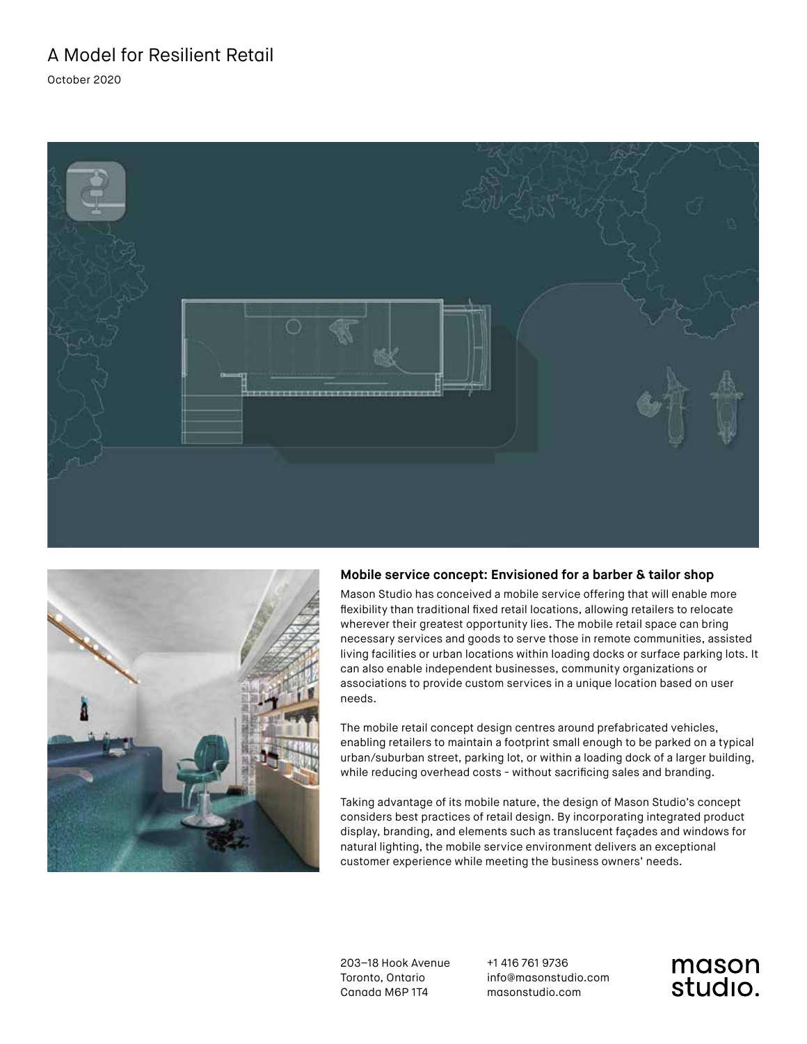October 2020





### **Mobile service concept: Envisioned for a barber & tailor shop**

Mason Studio has conceived a mobile service offering that will enable more flexibility than traditional fixed retail locations, allowing retailers to relocate wherever their greatest opportunity lies. The mobile retail space can bring necessary services and goods to serve those in remote communities, assisted living facilities or urban locations within loading docks or surface parking lots. It can also enable independent businesses, community organizations or associations to provide custom services in a unique location based on user needs.

The mobile retail concept design centres around prefabricated vehicles, enabling retailers to maintain a footprint small enough to be parked on a typical urban/suburban street, parking lot, or within a loading dock of a larger building, while reducing overhead costs - without sacrificing sales and branding.

Taking advantage of its mobile nature, the design of Mason Studio's concept considers best practices of retail design. By incorporating integrated product display, branding, and elements such as translucent façades and windows for natural lighting, the mobile service environment delivers an exceptional customer experience while meeting the business owners' needs.

203–18 Hook Avenue Toronto, Ontario Canada M6P 1T4

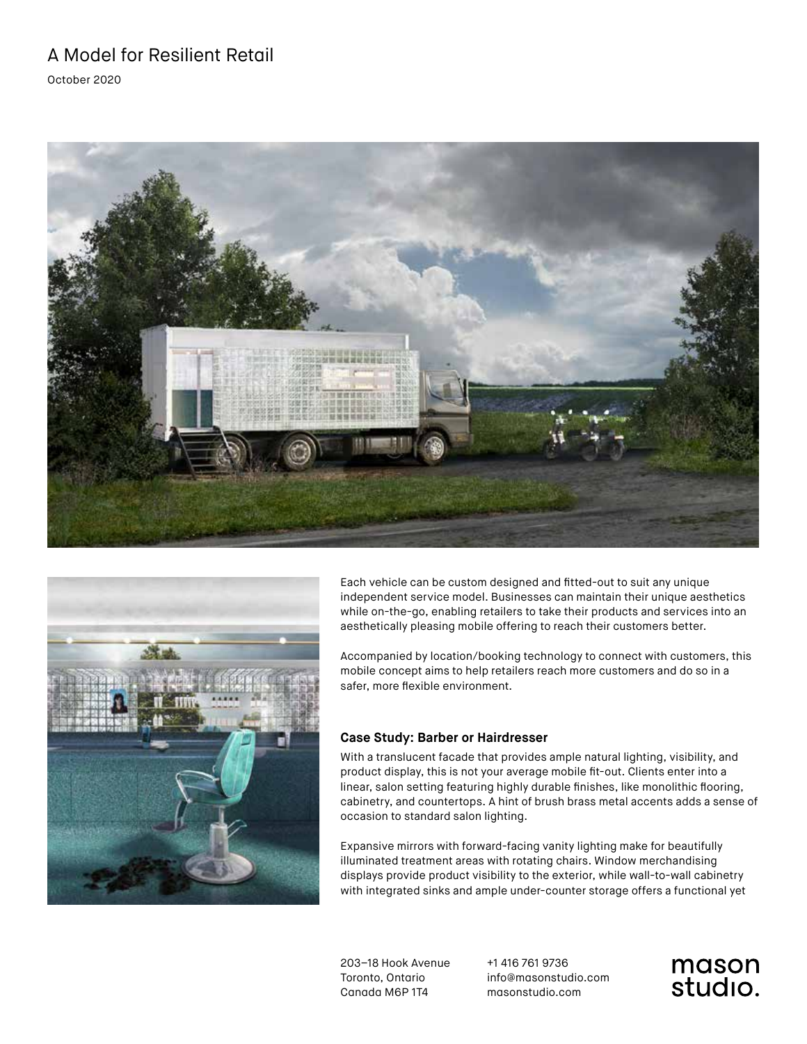October 2020





Each vehicle can be custom designed and fitted-out to suit any unique independent service model. Businesses can maintain their unique aesthetics while on-the-go, enabling retailers to take their products and services into an aesthetically pleasing mobile offering to reach their customers better.

Accompanied by location/booking technology to connect with customers, this mobile concept aims to help retailers reach more customers and do so in a safer, more flexible environment.

### **Case Study: Barber or Hairdresser**

With a translucent facade that provides ample natural lighting, visibility, and product display, this is not your average mobile fit-out. Clients enter into a linear, salon setting featuring highly durable finishes, like monolithic flooring, cabinetry, and countertops. A hint of brush brass metal accents adds a sense of occasion to standard salon lighting.

Expansive mirrors with forward-facing vanity lighting make for beautifully illuminated treatment areas with rotating chairs. Window merchandising displays provide product visibility to the exterior, while wall-to-wall cabinetry with integrated sinks and ample under-counter storage offers a functional yet

203–18 Hook Avenue Toronto, Ontario Canada M6P 1T4

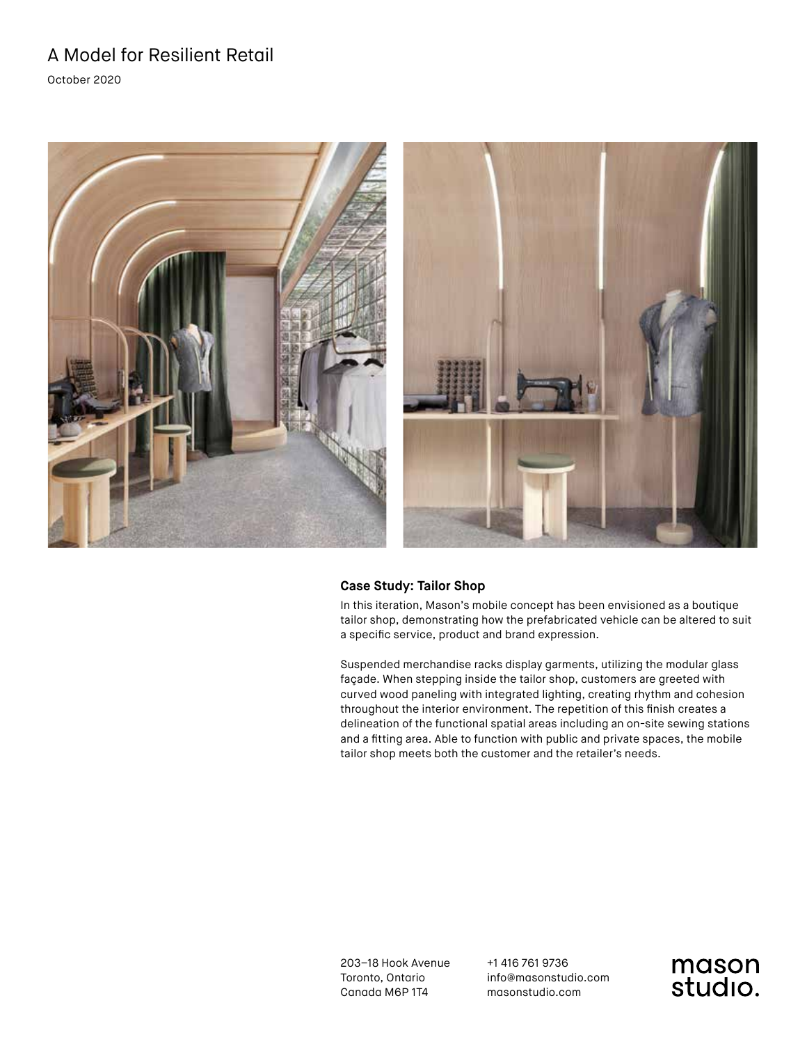October 2020



### **Case Study: Tailor Shop**

In this iteration, Mason's mobile concept has been envisioned as a boutique tailor shop, demonstrating how the prefabricated vehicle can be altered to suit a specific service, product and brand expression.

Suspended merchandise racks display garments, utilizing the modular glass façade. When stepping inside the tailor shop, customers are greeted with curved wood paneling with integrated lighting, creating rhythm and cohesion throughout the interior environment. The repetition of this finish creates a delineation of the functional spatial areas including an on-site sewing stations and a fitting area. Able to function with public and private spaces, the mobile tailor shop meets both the customer and the retailer's needs.

203–18 Hook Avenue Toronto, Ontario Canada M6P 1T4